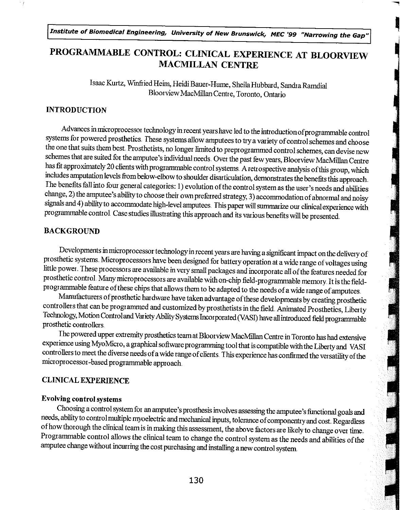Institute of Biomedical Engineering, University of New Brunswick, MEC '99 "Narrowing the Gap"

# PROGRAMMABLE CONTROL: CLINICAL EXPERIENCE AT BLOORVIEW MACMILLAN CENTRE

a.

Isaac Kurtz, Virmfiied Heim, Heidi Bauer-Hume, Sheila Hubbard, Sandra Ramdial Bloorview MacMillan Centre, Toronto, Ontario

### INTRODUCTION

Å

Advances in microprocessot technology in recent yearshave led to the introduction of programmablecontrol systems for powered prosthetics. These systems allow amputees to try a variety of control schemes and choose the one that suits them best. Prosthetists, no longer limited to preprogrammed control schemes, can devise new<br>schemes that are suited for the amputee's individual needs. Over the past few years, Bloorview MacMillan Centre has fit approximately 20 clients with programmable control systems. A retrospective analysis of this group, which includes amputation levels from below-elbow to shoulder disarticulation, demonstrates the benefits this appr The benefits fall into four general categories: 1) evolution of the control system as the user's needs and abilities change, 2) the amputee's ability to choose their own preferred strategy, 3) accommodation of abnormal and noisy signals and 4) ability to accommodate high-level amputees. This paper will summarize our clinical experience with programmable control Case studies illustrating this approach and its various benefits will be presented.

### BACKGROUND

EXGROUND<br>
Developments in microprocessor technology in recent years are having a significant impact on the delivery of<br>
thetic systems. Microprocessors have been designed for battery operation at a wide range of voltages u prosthetic systems Microprocessors have been designed for battery operation at a wide range of voltages using little power. These processors are available in very small packages and incorporate all of the features needed for<br>prosthetic control. Many microprocessors are available with on-chip field-programmable memory. It is the fi

programmable feature of these chips that allows them to be adapted to the needs of a wide range of amputees.<br>Manufacturers of prosthetic hardware have taken advantage of these developments by creating prosthetic controllers that can be programmed and customized by prosthetists in the field. Animated Prosthetics, Liberty<br>Technology, Motion Control and Variety Ability Systems Incorporated (VASI) have all introduced field programmabl prosthetic controllers

The powered upper extremity prosthetics team at Bloorview MacMillan Centre in Toronto has had extensive experience using MyoMicro, a graphical software programming tool that is compatible with the Liberty and VASI controllers to meet the diverse needs of a wide range of clients. This experience has confirmed the versatility of the microprocessor-based programmable approach.

### CLINICAL EXPERIENCE

#### Evolving control systems

Choosing a control system for an amputee's prosthesis involves assessing the amputee's functional goals and needs, ability to control multiple myoelectric and mechanical inputs, tolerance of componentry and cost. Regardles of how thorough the clinical team is in making this assessment, the above factors are likely to change over time.<br>Programmable control allows the clinical team to change the control system as the needs and abilities of the amputee change without incurring the cost purchasing andinstalling anew control system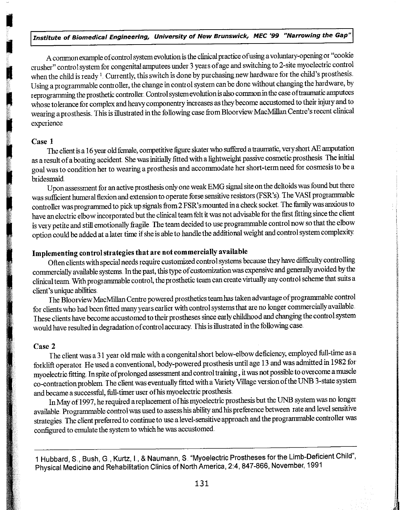A common example of control system evolution is the clinical practice of using a voluntary-opening or "cookie crusher" control system for congenital amputees under 3 year s ofage and switching to 2-site myoelectric control when the child is ready  $^1$ . Currently, this switch is done by purchasing new hardware for the child's prosthesis. Using a programmable controller, the change in control system can be done without changing the hardware, by reprogramming the prosthetic controller. Control system evolution is also common in the case of traumatic amputees whose tolerance for complex and heavy componentry increases as they become accustomed to their injury and to wearing a prosthesis. This is illustrated in the following case from Bloorview MacMillan Centre's recent clinical experience

### Case 1

The client is a 16 year old female, competitive figure skatet who suffeted a traumatic, very short AE amputation as a result of a boating accident She was initially fitted with a lightweight passive cosmetic prosthesis The initial goal was to condition her to wear ing a prosthesis and accommodate her short-term need for cosmesis to be a bridesmaid

Upon assessment for an active prosthesis only one weak EMG signal site on the deltoids was found but there was sufficient humeral flexion and extension to operate forse sensitive resistors (FSR's). The VASI programmable controller was programmed to pick up signals from 2 FSR's mounted in a check socket. The family was anxious to have an electric elbow incorporated but the clinical team felt it was not advisable for the first fitting since the client is very petite and still emotionally fragile The team decided to use pogrammable control now so that the elbow option could be added at a latet time if she is able to handle the additional weight and control system complexity

### Implementing control strategies that are not commercially available

Often clients with special needs require customized control systems because they have difficulty controlling commer cially available systems In the past, this type of custornization was expensive and genet ally avoided by the clinical team With programmable control, the prosthetic team can create virtually any control scheme that suits a client's unique abilities

The Bloorview MacMillan Centre powered ptosthetics team hastaken advantage of piogrammable control for clients who had been fitted many years earlier with control systems that are no longer commercially available. These clients have become accustomed to their pt ostheses since earlychildhood and changing the control system would have resulted in degradation of control accuracy. This is illusttated in the following case

#### Case 2

The client was a 31 year old male with a congenital short below-elbow deficiency, employed full-time as a fotklift operator. He used a conventional, body-powered piosthesisuntil age 13 and was admitted in 1982 for myoelectric fitting.. In spite of prolonged assessment and control ttaining , it was not possible to overcome a muscle co-contraction problem. The client was eventually fitted with a Variety Village version of the UNB 3-state system and became a successful, full-timer user of his myoelectric prosthesis.

In May of 1997, he required a replacement of his myoelectric prosthesis but the UNB system was no longer available. Programmable control was used to assess his ability and his preference between rate and level sensitive strategies. The client prefet red to continue to use a level-sensitive approach and the programmable controller was configured to emulate the system to which he was accustomed

1 Hubbard, S , Bush, G., Kurtz, I., & Naumann, S "Myoelectric Prostheses for the Limb-Deficient Child", Physical Medicine and Rehabilitation Clinics of North America, 2:4, 847-866, November, 1991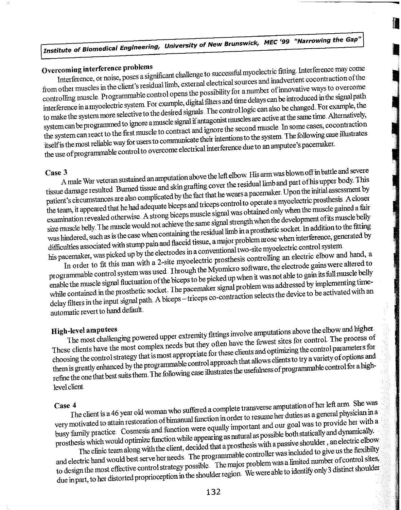# Institute of Biomedical Engineering, University of New Brunswick, MEC '99 "Narrowing the Gap"

Overcoming interference problems<br>Interference, or noise, poses a significant challenge to successful myoelectric fitting. Interference may come<br>Interference, or noise, poses a significant challenge to successful myoelectri from other muscles in the client's residual limb, external electrical sources and inadvertent cocontraction of the controlling muscle Programmable control opens the possibility for a number of innovative ways to overcome interference in a myoelectric system. For example, digital filters and time delays can be introduced in the signal path to make the system more selective to the desired signals. The control logic can also be changed. For example, the system can be programmed to ignore a muscle signal if antagonist muscles are active at the same time. Alternatively, the system can react to the first muscle to contract and ignore the second muscle In some cases, cocontraction itself is the mostreliable way for users to communicate their intentionsto the system The following case illustrates the use of programmable control to overcome electrical interference due to an amputee's pacemaker

Case 3 A male War veteran sustained an amputationabove the left elbow. His arm was blown off in battle and severe tissue damage resulted. Burned tissue and skin grafting cover the residual limb and part of his upper body. This patient's circumstances are also complicated by the fact that he wears a pacemaker. Upon the initial assessment by the team, it appeared that he had adequate biceps and triceps control to operate a myoelectric prosthesis. A closer examination revealed otherwise. A strong biceps muscle signal was obtained only when the muscle gained a fair size muscle belly. The muscle would not achieve the same signal strength when the development of its muscle belly was hindered, such as is the case when containing the residual limb in a prosthetic socket. In addition to the fitting difficulties associated with stump pain and flaccid tissue, a major problem arose when interference, generated by his pacemaker, was picked up by the electrodes in a conventional two-site myoelectric control system

In order to fit this man with a 2-site myoelectric prosthesis controlling an electric elbow and hand, a programmable control system was used Through the Myomicro software, the electrode gains were altered to enable the muscle signal fluctuation of the biceps to be picked up when it was not able to gain its full muscle belly while contained in the prosthetic socket. The pacemaker signal problem was addressed by implementing timedelay filters in the input signal path. A biceps - triceps co-contraction selects the device to be activated with an automatic revert to hand default

High-level amputees<br>The most challenging powered upper extremity fittings involve amputations above the elbow and higher<br>the most challenging powered upper extremity fittings involve amputations above the elbow and higher<br> These clients have the most complex needs but they often have the fewest sites for control. The process of choosing the control strategy that is most appropriate for these clients and optimizing the control parameters for them is greatly enhanced by the programmable control approach that allows clients to try a variety of options and refine the one that best suits them. The following case illustrates the usefulness of programmable control for a highlevel client

Case 4<br>The client is a 46 year old woman who suffered a complete transverse amputation of her left arm. She was very motivated to attain restoration of bimanual function in order to resume her duties as a general physician in a busy family practice Cosmesis and function were equally important and our goal was to provide her with a prosthesis which would optimize function while appearing as natural as possible both statically and dynamically. The clinic team along with the client, decided that a prosthesis with a passive shoulder, an electric elbow

and electric hand would best serve her needs. The programmable controller was included to give us the flexibilty to design the most effective control strategy possible. The major problem was a limited number of control sites, due in part, to her distorted proprioception in the shoulder region. We were able to identify only 3 distinct shoulder